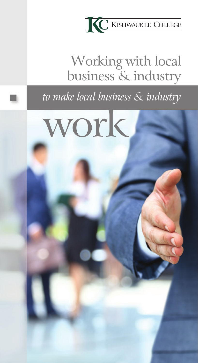

## Working with local business & industry

## *to make local business & industry*

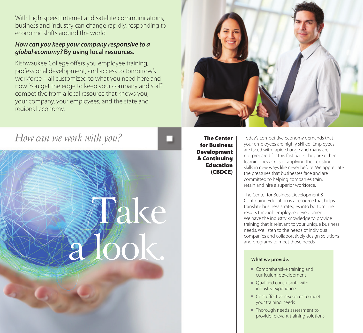With high-speed Internet and satellite communications, business and industry can change rapidly, responding to economic shifts around the world.

#### *How can you keep your company responsive to a global economy?* **By using local resources.**

Kishwaukee College offers you employee training, professional development, and access to tomorrow's workforce – all customized to what you need here and now. You get the edge to keep your company and staff competitive from a local resource that knows you, your company, your employees, and the state and regional economy.

Make



## *How can we work with you?*

The Center for Business Development & Continuing **Education** (CBDCE)

Today's competitive economy demands that your employees are highly skilled. Employees are faced with rapid change and many are not prepared for this fast pace. They are either learning new skills or applying their existing skills in new ways like never before. We appreciate the pressures that businesses face and are committed to helping companies train, retain and hire a superior workforce.

The Center for Business Development & Continuing Education is a resource that helps translate business strategies into bottom line results through employee development. We have the industry knowledge to provide training that is relevant to your unique business needs. We listen to the needs of individual companies and collaboratively design solutions and programs to meet those needs. Entry of the term of the term of the term of the term of the term of the term of the term of the term of the term of the term of the term of the term of the term of the term of the term of the term of the term of the term

- Comprehensive training and curriculum development
- Qualified consultants with industry experience
- Cost effective resources to meet your training needs
- Thorough needs assessment to provide relevant training solutions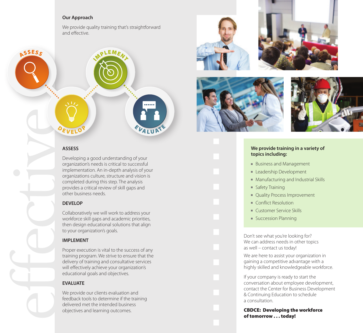#### **Our Approach**

We provide quality training that's straightforward and effective.

PLEME

#### **ASSESS**

Developing a good understanding of your organization's needs is critical to successful implementation. An in-depth analysis of your organizations culture, structure and vision is completed during this step. The analysis provides a critical review of skill gaps and other business needs.

#### **DEVELOP**

effective

SSESS

Collaboratively we will work to address your workforce skill gaps and academic priorities, then design educational solutions that align to your organization's goals.

#### **IMPLEMENT**

Proper execution is vital to the success of any training program. We strive to ensure that the delivery of training and consultative services will effectively achieve your organization's educational goals and objectives.

#### **EVALUATE**

We provide our clients evaluation and feedback tools to determine if the training delivered met the intended business objectives and learning outcomes.







#### **We provide training in a variety of topics including:**

- Business and Management
- **Leadership Development**
- Manufacturing and Industrial Skills
- Safety Training
- **Quality Process Improvement**
- Conflict Resolution
- **Customer Service Skills**
- **Succession Planning**

Don't see what you're looking for? We can address needs in other topics as well – contact us today!

We are here to assist your organization in gaining a competitive advantage with a highly skilled and knowledgeable workforce.

If your company is ready to start the conversation about employee development, contact the Center for Business Development & Continuing Education to schedule a consultation.

CBDCE: Developing the workforce of tomorrow . . . today!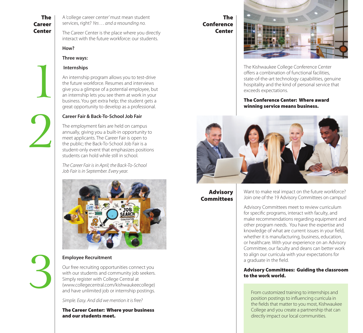#### The **Career Center**

1

2

A 'college career center' must mean student services, right? *Yes . . . and a resounding no.*

The Career Center is the place where you directly interact with the future workforce: our students.

#### **How?**

#### **Three ways:**

#### **Internships**

An internship program allows you to test-drive the future workforce. Resumes and interviews give you a glimpse of a potential employee, but an internship lets you see them at work in your business. You get extra help; the student gets a great opportunity to develop as a professional.

#### **Career Fair & Back-To-School Job Fair**

The employment fairs are held on campus annually, giving you a built-in opportunity to meet applicants. The Career Fair is open to the public; the Back-To-School Job Fair is a student-only event that emphasizes positions students can hold while still in school.

*The Career Fair is in April; the Back-To-School Job Fair is in September. Every year.*



# 3

#### **Employee Recruitment**

Our free recruiting opportunities connect you with our students and community job seekers. Simply register with College Central at (www.collegecentral.com/kishwaukeecollege) and have unlimited job or internship postings.

*Simple. Easy. And did we mention it is free?*

The Career Center: Where your business and our students meet.

The **Conference Center** 



The Kishwaukee College Conference Center offers a combination of functional facilities, state-of-the-art technology capabilities, genuine hospitality and the kind of personal service that exceeds expectations.

#### The Conference Center: Where award winning service means business.



Advisory Committees Want to make real impact on the future workforce? Join one of the 19 Advisory Committees on campus!

Advisory Committees meet to review curriculum for specific programs, interact with faculty, and make recommendations regarding equipment and other program needs. You have the expertise and knowledge of what are current issues in your field, whether it is manufacturing, business, education, or healthcare. With your experience on an Advisory Committee, our faculty and deans can better work to align our curricula with your expectations for a graduate in the field.

#### Advisory Committees: Guiding the classroom to the work world.

From customized training to internships and position postings to influencing curricula in the fields that matter to you most, Kishwaukee College and you create a partnership that can directly impact our local communities.